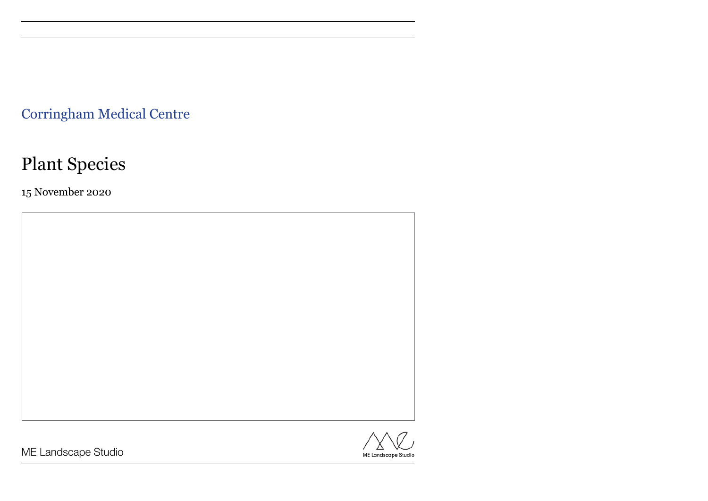ME Landscape Studio

Corringham Medical Centre

# Plant Species

15 November 2020

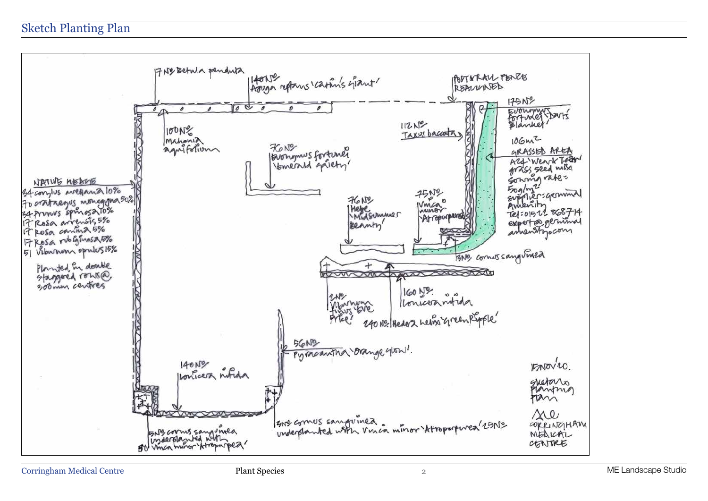Evonyments **GRASSED AREA** Arg Wenck Tear grass seed miss Sonny role Tel:01522 868714 experte geninal  $EMOV4O$ gretars Plantma tan sie CORRINGHAM MEDICAL CENTRE

## Sketch Planting Plan

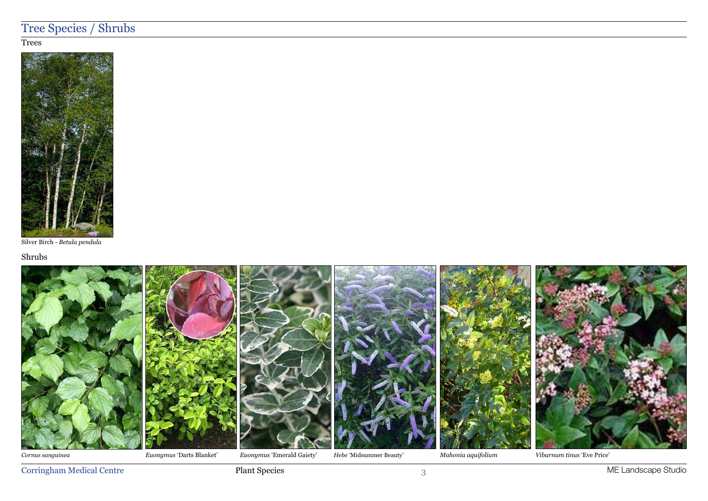Corringham Medical Centre Plant Species 3 ME Landscape Studio

# Tree Species / Shrubs

#### **Trees**



Silver Birch - *Betula pendula*



*Cornus sanguinea*



#### Shrubs

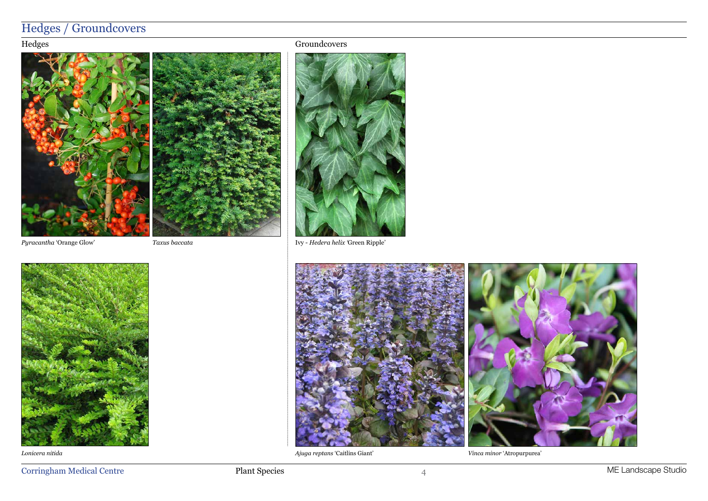

# Hedges / Groundcovers

Ivy - *Hedera helix '*Green Ripple'

### Hedges





*Pyracantha* 'Orange Glow'



*Lonicera nitida*

*Taxus baccata*

#### Groundcovers





*Ajuga reptans* 'Caitlins Giant' *Vinca minor* 'Atropurpurea'

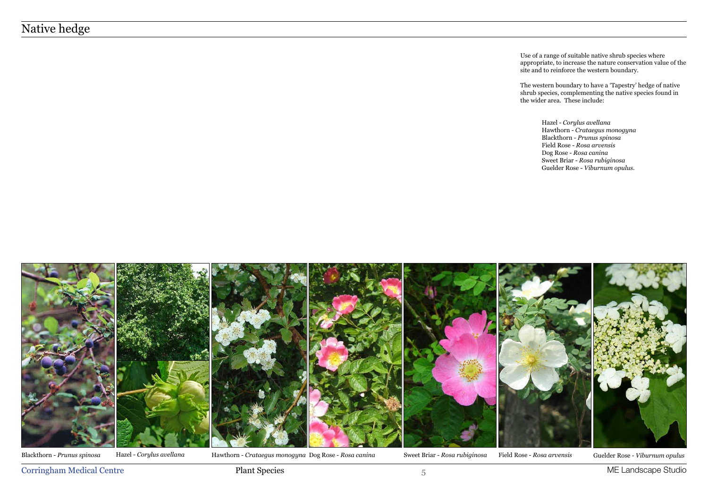## Native hedge

Use of a range of suitable native shrub species where appropriate, to increase the nature conservation value of the site and to reinforce the western boundary.



Blackthorn - Prunus spinosa Hazel - Corylus avellana Hawthorn - Crataegus monogyna Dog Rose - Rosa canina Sweet Briar - Rosa rubiginosa Field Rose - Rosa arvensis Guelder Rose - Viburnum opulus

Corringham Medical Centre **Plant Species** Plant Species 5 and 5 metals of the Landscape Studio

The western boundary to have a 'Tapestry' hedge of native shrub species, complementing the native species found in the wider area. These include:

> Hazel - *Corylus avellana* Hawthorn - *Crataegus monogyna*  Blackthorn - *Prunus spinosa* Field Rose - *Rosa arvensis* Dog Rose - *Rosa canina* Sweet Briar - *Rosa rubiginosa* Guelder Rose - *Viburnum opulus*.